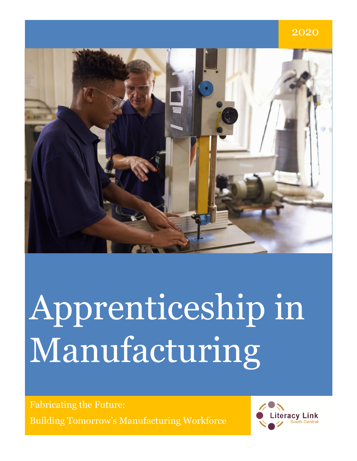# 2020

# Apprenticeship in Manufacturing

Apprentices in Manufacturing 1996 and 1997 and 1997 and 1997 and 1997 and 1997 and 1997 and 1997 and 1997 and Fabricating the Future: Building Tomorrow's Manufacturing Workforce

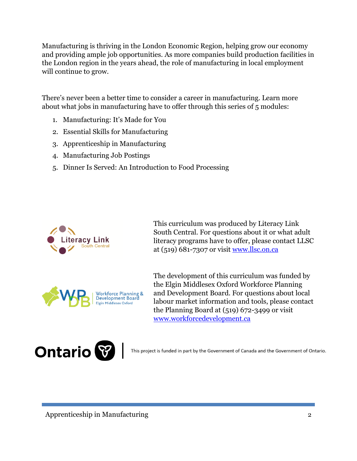Manufacturing is thriving in the London Economic Region, helping grow our economy and providing ample job opportunities. As more companies build production facilities in the London region in the years ahead, the role of manufacturing in local employment will continue to grow.

There's never been a better time to consider a career in manufacturing. Learn more about what jobs in manufacturing have to offer through this series of 5 modules:

- 1. Manufacturing: It's Made for You
- 2. Essential Skills for Manufacturing
- 3. Apprenticeship in Manufacturing
- 4. Manufacturing Job Postings
- 5. Dinner Is Served: An Introduction to Food Processing



This curriculum was produced by Literacy Link South Central. For questions about it or what adult literacy programs have to offer, please contact LLSC at (519) 681-7307 or visit [www.llsc.on.ca](http://www.llsc.on.ca/)



The development of this curriculum was funded by the Elgin Middlesex Oxford Workforce Planning and Development Board. For questions about local labour market information and tools, please contact the Planning Board at (519) 672-3499 or visit [www.workforcedevelopment.ca](http://www.workforcedevelopment.ca/) 



This project is funded in part by the Government of Canada and the Government of Ontario.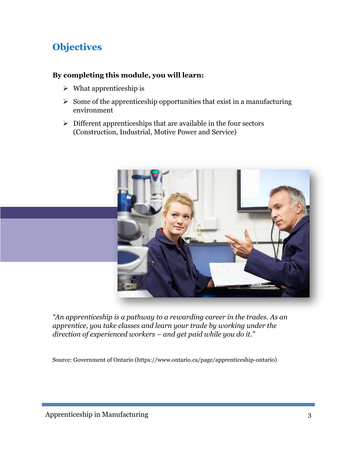# **Objectives**

#### **By completing this module, you will learn:**

- $\triangleright$  What apprenticeship is
- $\geq$  Some of the apprenticeship opportunities that exist in a manufacturing environment
- $\triangleright$  Different apprenticeships that are available in the four sectors (Construction, Industrial, Motive Power and Service)



*"An apprenticeship is a pathway to a rewarding career in the trades. As an apprentice, you take classes and learn your trade by working under the direction of experienced workers – and get paid while you do it."* 

Source: Government of Ontario (https://www.ontario.ca/page/apprenticeship-ontario)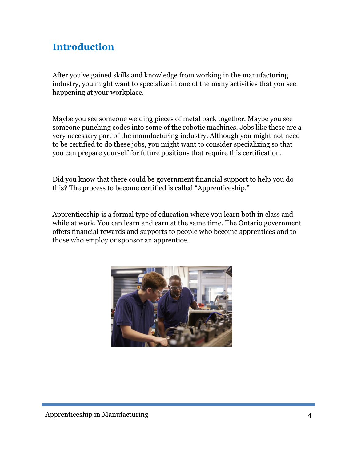## **Introduction**

After you've gained skills and knowledge from working in the manufacturing industry, you might want to specialize in one of the many activities that you see happening at your workplace.

Maybe you see someone welding pieces of metal back together. Maybe you see someone punching codes into some of the robotic machines. Jobs like these are a very necessary part of the manufacturing industry. Although you might not need to be certified to do these jobs, you might want to consider specializing so that you can prepare yourself for future positions that require this certification.

Did you know that there could be government financial support to help you do this? The process to become certified is called "Apprenticeship."

Apprenticeship is a formal type of education where you learn both in class and while at work. You can learn and earn at the same time. The Ontario government offers financial rewards and supports to people who become apprentices and to those who employ or sponsor an apprentice.

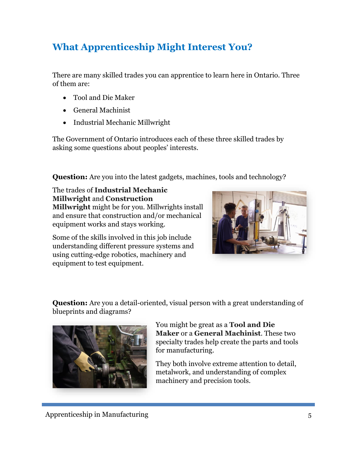# **What Apprenticeship Might Interest You?**

There are many skilled trades you can apprentice to learn here in Ontario. Three of them are:

- Tool and Die Maker
- General Machinist
- Industrial Mechanic Millwright

The Government of Ontario introduces each of these three skilled trades by asking some questions about peoples' interests.

**Question:** Are you into the latest gadgets, machines, tools and technology?

The trades of **Industrial Mechanic Millwright** and **Construction Millwright** might be for you. Millwrights install and ensure that construction and/or mechanical equipment works and stays working.

Some of the skills involved in this job include understanding different pressure systems and using cutting-edge robotics, machinery and equipment to test equipment.



**Question:** Are you a detail-oriented, visual person with a great understanding of blueprints and diagrams?



You might be great as a **Tool and Die Maker** or a **General Machinist**. These two specialty trades help create the parts and tools for manufacturing.

They both involve extreme attention to detail, metalwork, and understanding of complex machinery and precision tools.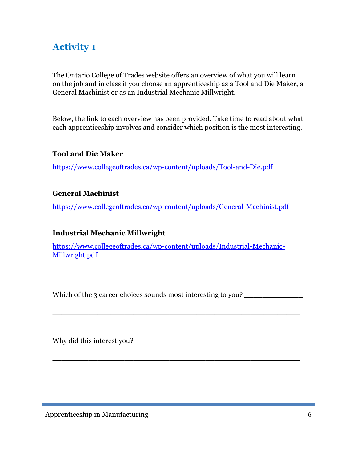# **Activity 1**

The Ontario College of Trades website offers an overview of what you will learn on the job and in class if you choose an apprenticeship as a Tool and Die Maker, a General Machinist or as an Industrial Mechanic Millwright.

Below, the link to each overview has been provided. Take time to read about what each apprenticeship involves and consider which position is the most interesting.

#### **Tool and Die Maker**

<https://www.collegeoftrades.ca/wp-content/uploads/Tool-and-Die.pdf>

#### **General Machinist**

<https://www.collegeoftrades.ca/wp-content/uploads/General-Machinist.pdf>

#### **Industrial Mechanic Millwright**

[https://www.collegeoftrades.ca/wp-content/uploads/Industrial-Mechanic-](https://www.collegeoftrades.ca/wp-content/uploads/Industrial-Mechanic-Millwright.pdf)[Millwright.pdf](https://www.collegeoftrades.ca/wp-content/uploads/Industrial-Mechanic-Millwright.pdf)

Which of the 3 career choices sounds most interesting to you?

\_\_\_\_\_\_\_\_\_\_\_\_\_\_\_\_\_\_\_\_\_\_\_\_\_\_\_\_\_\_\_\_\_\_\_\_\_\_\_\_\_\_\_\_\_\_\_\_\_\_\_\_\_\_\_

\_\_\_\_\_\_\_\_\_\_\_\_\_\_\_\_\_\_\_\_\_\_\_\_\_\_\_\_\_\_\_\_\_\_\_\_\_\_\_\_\_\_\_\_\_\_\_\_\_\_\_\_\_\_\_

Why did this interest you?

Apprenticeship in Manufacturing 6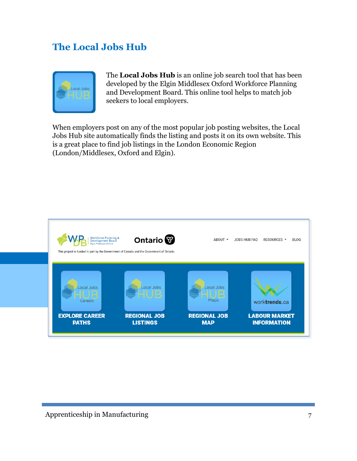## **The Local Jobs Hub**



The **Local Jobs Hub** is an online job search tool that has been developed by the Elgin Middlesex Oxford Workforce Planning and Development Board. This online tool helps to match job seekers to local employers.

When employers post on any of the most popular job posting websites, the Local Jobs Hub site automatically finds the listing and posts it on its own website. This is a great place to find job listings in the London Economic Region (London/Middlesex, Oxford and Elgin).

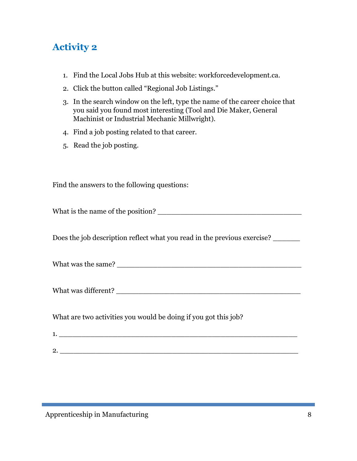# **Activity 2**

- 1. Find the Local Jobs Hub at this website: workforcedevelopment.ca.
- 2. Click the button called "Regional Job Listings."
- 3. In the search window on the left, type the name of the career choice that you said you found most interesting (Tool and Die Maker, General Machinist or Industrial Mechanic Millwright).
- 4. Find a job posting related to that career.
- 5. Read the job posting.

Find the answers to the following questions:

What is the name of the position? \_\_\_\_\_\_\_\_\_\_\_\_\_\_\_\_\_\_\_\_\_\_\_\_\_\_\_\_\_\_\_\_

Does the job description reflect what you read in the previous exercise? \_\_\_\_\_\_

What was the same? \_\_\_\_\_\_\_\_\_\_\_\_\_\_\_\_\_\_\_\_\_\_\_\_\_\_\_\_\_\_\_\_\_\_\_\_\_\_\_\_\_

What was different?

What are two activities you would be doing if you got this job?

| c |  |  |
|---|--|--|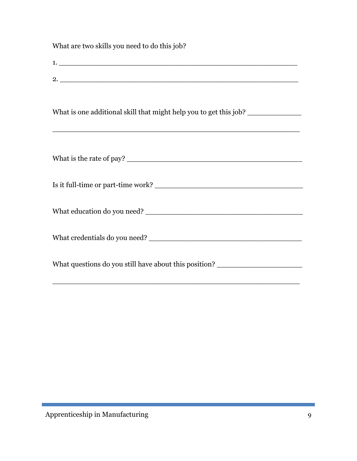What are two skills you need to do this job? 1. \_\_\_\_\_\_\_\_\_\_\_\_\_\_\_\_\_\_\_\_\_\_\_\_\_\_\_\_\_\_\_\_\_\_\_\_\_\_\_\_\_\_\_\_\_\_\_\_\_\_\_\_\_  $2.$ What is one additional skill that might help you to get this job? \_\_\_\_\_\_\_\_\_\_\_\_\_\_\_\_\_\_\_\_\_\_\_\_\_\_\_\_\_\_\_\_\_\_\_\_\_\_\_\_\_\_\_\_\_\_\_\_\_\_\_\_\_\_\_ What is the rate of pay? \_\_\_\_\_\_\_\_\_\_\_\_\_\_\_\_\_\_\_\_\_\_\_\_\_\_\_\_\_\_\_\_\_\_\_\_\_\_\_ Is it full-time or part-time work? \_\_\_\_\_\_\_\_\_\_\_\_\_\_\_\_\_\_\_\_\_\_\_\_\_\_\_\_\_\_\_\_\_ What education do you need? \_\_\_\_\_\_\_\_\_\_\_\_\_\_\_\_\_\_\_\_\_\_\_\_\_\_\_\_\_\_\_\_\_\_\_ What credentials do you need? What questions do you still have about this position?

\_\_\_\_\_\_\_\_\_\_\_\_\_\_\_\_\_\_\_\_\_\_\_\_\_\_\_\_\_\_\_\_\_\_\_\_\_\_\_\_\_\_\_\_\_\_\_\_\_\_\_\_\_\_\_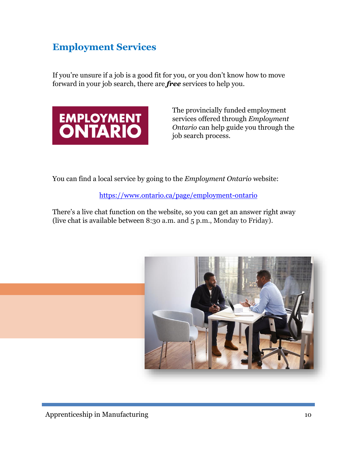# **Employment Services**

If you're unsure if a job is a good fit for you, or you don't know how to move forward in your job search, there are *free* services to help you.



The provincially funded employment services offered through *Employment Ontario* can help guide you through the job search process.

You can find a local service by going to the *Employment Ontario* website:

<https://www.ontario.ca/page/employment-ontario>

There's a live chat function on the website, so you can get an answer right away (live chat is available between 8:30 a.m. and 5 p.m., Monday to Friday).

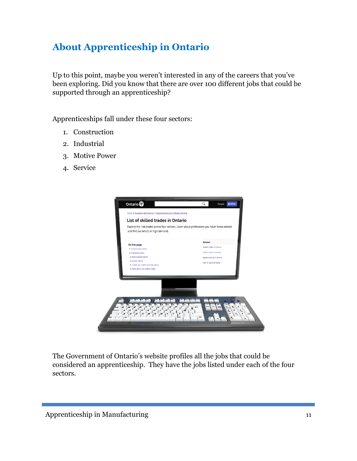# **About Apprenticeship in Ontario**

Up to this point, maybe you weren't interested in any of the careers that you've been exploring. Did you know that there are over 100 different jobs that could be supported through an apprenticeship?

Apprenticeships fall under these four sectors:

- 1. Construction
- 2. Industrial
- 3. Motive Power
- 4. Service



The Government of Ontario's website profiles all the jobs that could be considered an apprenticeship. They have the jobs listed under each of the four sectors.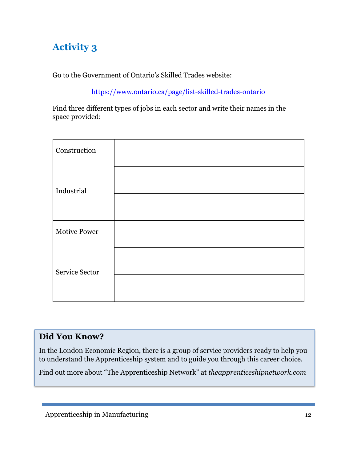# **Activity 3**

Go to the Government of Ontario's Skilled Trades website:

<https://www.ontario.ca/page/list-skilled-trades-ontario>

Find three different types of jobs in each sector and write their names in the space provided:

| Construction        |  |
|---------------------|--|
|                     |  |
|                     |  |
| Industrial          |  |
|                     |  |
|                     |  |
| <b>Motive Power</b> |  |
|                     |  |
|                     |  |
| Service Sector      |  |
|                     |  |
|                     |  |

#### **Did You Know?**

In the London Economic Region, there is a group of service providers ready to help you to understand the Apprenticeship system and to guide you through this career choice.

Find out more about "The Apprenticeship Network" at *theapprenticeshipnetwork.com*